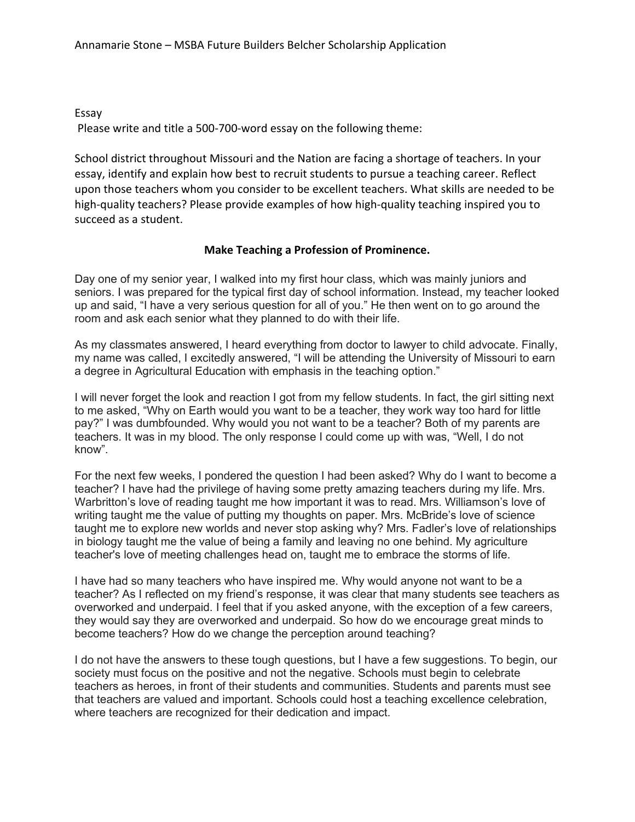Essay

Please write and title a 500-700-word essay on the following theme:

School district throughout Missouri and the Nation are facing a shortage of teachers. In your essay, identify and explain how best to recruit students to pursue a teaching career. Reflect upon those teachers whom you consider to be excellent teachers. What skills are needed to be high-quality teachers? Please provide examples of how high-quality teaching inspired you to succeed as a student.

## Make Teaching a Profession of Prominence.

Day one of my senior year, I walked into my first hour class, which was mainly juniors and seniors. I was prepared for the typical first day of school information. Instead, my teacher looked up and said, "I have a very serious question for all of you." He then went on to go around the room and ask each senior what they planned to do with their life.

As my classmates answered, I heard everything from doctor to lawyer to child advocate. Finally, my name was called, I excitedly answered, "I will be attending the University of Missouri to earn a degree in Agricultural Education with emphasis in the teaching option."

I will never forget the look and reaction I got from my fellow students. In fact, the girl sitting next to me asked, "Why on Earth would you want to be a teacher, they work way too hard for little pay?" I was dumbfounded. Why would you not want to be a teacher? Both of my parents are teachers. It was in my blood. The only response I could come up with was, "Well, I do not know".

For the next few weeks, I pondered the question I had been asked? Why do I want to become a teacher? I have had the privilege of having some pretty amazing teachers during my life. Mrs. Warbritton's love of reading taught me how important it was to read. Mrs. Williamson's love of writing taught me the value of putting my thoughts on paper. Mrs. McBride's love of science taught me to explore new worlds and never stop asking why? Mrs. Fadler's love of relationships in biology taught me the value of being a family and leaving no one behind. My agriculture teacher's love of meeting challenges head on, taught me to embrace the storms of life.

I have had so many teachers who have inspired me. Why would anyone not want to be a teacher? As I reflected on my friend's response, it was clear that many students see teachers as overworked and underpaid. I feel that if you asked anyone, with the exception of a few careers, they would say they are overworked and underpaid. So how do we encourage great minds to become teachers? How do we change the perception around teaching?

I do not have the answers to these tough questions, but I have a few suggestions. To begin, our society must focus on the positive and not the negative. Schools must begin to celebrate teachers as heroes, in front of their students and communities. Students and parents must see that teachers are valued and important. Schools could host a teaching excellence celebration, where teachers are recognized for their dedication and impact.